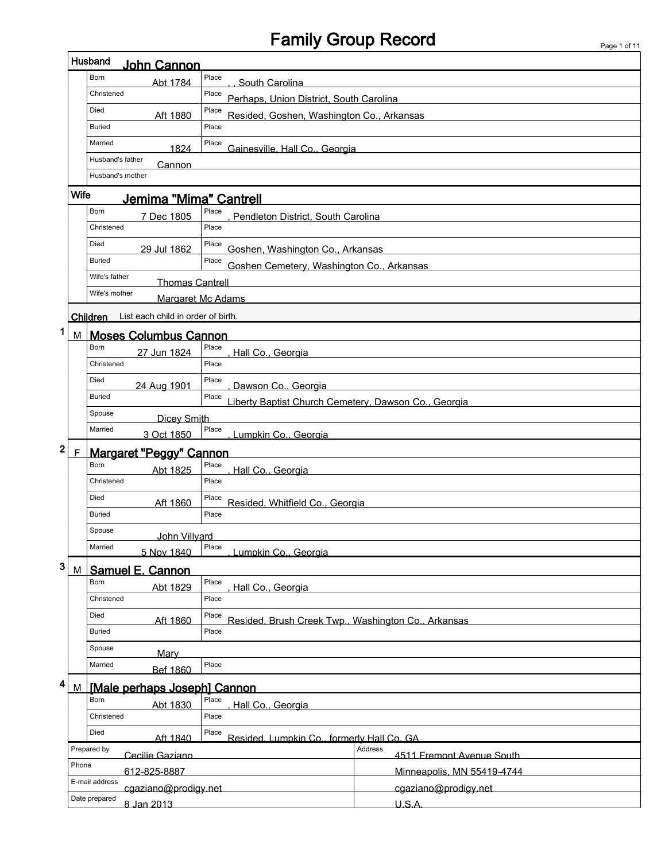# Family Group Record

|                  |                                                            | Husband<br><b>John Cannon</b>                                                    |                                                      |                                      |  |  |  |  |  |  |  |
|------------------|------------------------------------------------------------|----------------------------------------------------------------------------------|------------------------------------------------------|--------------------------------------|--|--|--|--|--|--|--|
|                  |                                                            | Born<br>Abt 1784                                                                 | Place<br>South Carolina                              |                                      |  |  |  |  |  |  |  |
|                  |                                                            | Christened                                                                       | Place<br>Perhaps, Union District, South Carolina     |                                      |  |  |  |  |  |  |  |
|                  |                                                            | Died<br>Aft 1880                                                                 | Place<br>Resided, Goshen, Washington Co., Arkansas   |                                      |  |  |  |  |  |  |  |
|                  |                                                            | <b>Buried</b>                                                                    | Place                                                |                                      |  |  |  |  |  |  |  |
|                  | Married<br>Place<br>Gainesville, Hall Co., Georgia<br>1824 |                                                                                  |                                                      |                                      |  |  |  |  |  |  |  |
|                  |                                                            | Husband's father<br>Cannon                                                       |                                                      |                                      |  |  |  |  |  |  |  |
|                  |                                                            | Husband's mother                                                                 |                                                      |                                      |  |  |  |  |  |  |  |
| Wife             |                                                            |                                                                                  |                                                      |                                      |  |  |  |  |  |  |  |
|                  |                                                            | Jemima "Mima" Cantrell<br>Born<br>7 Dec 1805                                     | Place<br>Pendleton District. South Carolina          |                                      |  |  |  |  |  |  |  |
|                  | Christened<br>Place                                        |                                                                                  |                                                      |                                      |  |  |  |  |  |  |  |
|                  |                                                            | Died<br>29 Jul 1862                                                              | Place<br>Goshen, Washington Co., Arkansas            |                                      |  |  |  |  |  |  |  |
|                  |                                                            | <b>Buried</b>                                                                    | Place<br>Goshen Cemetery, Washington Co., Arkansas   |                                      |  |  |  |  |  |  |  |
|                  |                                                            | Wife's father<br><b>Thomas Cantrell</b>                                          |                                                      |                                      |  |  |  |  |  |  |  |
|                  |                                                            | Wife's mother                                                                    | Margaret Mc Adams                                    |                                      |  |  |  |  |  |  |  |
|                  |                                                            | List each child in order of birth.<br><b>Children</b>                            |                                                      |                                      |  |  |  |  |  |  |  |
| 1                | М                                                          | <b>Moses Columbus Cannon</b>                                                     |                                                      |                                      |  |  |  |  |  |  |  |
|                  |                                                            | Born<br>27 Jun 1824                                                              | Place<br>Hall Co., Georgia                           |                                      |  |  |  |  |  |  |  |
|                  |                                                            | Christened                                                                       | Place                                                |                                      |  |  |  |  |  |  |  |
|                  |                                                            | Died<br>24 Aug 1901                                                              | Place<br>Dawson Co., Georgia                         |                                      |  |  |  |  |  |  |  |
|                  |                                                            | <b>Buried</b>                                                                    | Place                                                |                                      |  |  |  |  |  |  |  |
|                  |                                                            | Spouse                                                                           | Liberty Baptist Church Cemetery, Dawson Co., Georgia |                                      |  |  |  |  |  |  |  |
|                  |                                                            | <b>Dicey Smith</b><br>Married<br>Place<br>3 Oct 1850<br>Lumpkin Co., Georgia     |                                                      |                                      |  |  |  |  |  |  |  |
| 2<br>$\mathsf F$ |                                                            | Margaret "Peggy" Cannon                                                          |                                                      |                                      |  |  |  |  |  |  |  |
|                  |                                                            | Born<br>Abt 1825                                                                 | Place<br>Hall Co., Georgia                           |                                      |  |  |  |  |  |  |  |
|                  |                                                            | Christened<br>Place                                                              |                                                      |                                      |  |  |  |  |  |  |  |
|                  |                                                            | Died<br>Aft 1860                                                                 | Place                                                |                                      |  |  |  |  |  |  |  |
|                  |                                                            | <b>Buried</b>                                                                    | Resided, Whitfield Co., Georgia<br>Place             |                                      |  |  |  |  |  |  |  |
|                  |                                                            | Spouse<br>John Villyard                                                          |                                                      |                                      |  |  |  |  |  |  |  |
|                  |                                                            | Married<br>5 Nov 1840                                                            | Place<br>Lumpkin Co., Georgia                        |                                      |  |  |  |  |  |  |  |
| 3                | M                                                          | <b>Samuel E. Cannon</b>                                                          |                                                      |                                      |  |  |  |  |  |  |  |
|                  |                                                            | Born<br>Abt 1829                                                                 | Place<br>Hall Co., Georgia                           |                                      |  |  |  |  |  |  |  |
|                  |                                                            | Christened                                                                       | Place                                                |                                      |  |  |  |  |  |  |  |
|                  |                                                            | Died<br>Place<br>Aft 1860<br>Resided, Brush Creek Twp., Washington Co., Arkansas |                                                      |                                      |  |  |  |  |  |  |  |
|                  |                                                            | Place<br><b>Buried</b>                                                           |                                                      |                                      |  |  |  |  |  |  |  |
|                  |                                                            | Spouse<br>Mary                                                                   |                                                      |                                      |  |  |  |  |  |  |  |
|                  |                                                            | Married<br><b>Bef 1860</b>                                                       | Place                                                |                                      |  |  |  |  |  |  |  |
| 4                | M                                                          | [Male perhaps Joseph] Cannon                                                     |                                                      |                                      |  |  |  |  |  |  |  |
|                  |                                                            | Born<br>Place<br>Abt 1830<br>Hall Co., Georgia                                   |                                                      |                                      |  |  |  |  |  |  |  |
|                  |                                                            | Christened                                                                       | Place                                                |                                      |  |  |  |  |  |  |  |
|                  |                                                            | Died<br>Aft 1840                                                                 | Place<br>Resided. Lumpkin Co., formerly Hall Co. GA  |                                      |  |  |  |  |  |  |  |
|                  |                                                            | Prepared by<br>Cecilie Gaziano                                                   |                                                      | Address<br>4511 Fremont Avenue South |  |  |  |  |  |  |  |
|                  | Phone                                                      | 612-825-8887                                                                     |                                                      | Minneapolis, MN 55419-4744           |  |  |  |  |  |  |  |
|                  |                                                            | E-mail address<br>cgaziano@prodigy.net                                           |                                                      | cgaziano@prodigy.net                 |  |  |  |  |  |  |  |
|                  |                                                            | Date prepared<br>8 Jan 2013                                                      |                                                      | U.S.A.                               |  |  |  |  |  |  |  |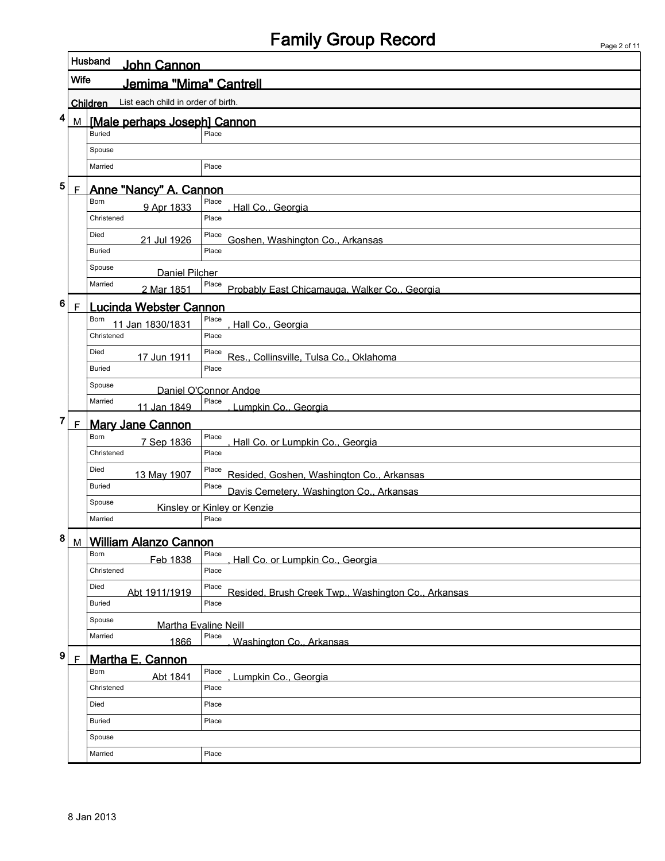### Family Group Record

|                        |                | Husband<br>John Cannon                         |                                                              |  |  |  |  |  |  |  |
|------------------------|----------------|------------------------------------------------|--------------------------------------------------------------|--|--|--|--|--|--|--|
|                        | Wife           | Jemima "Mima" Cantrell                         |                                                              |  |  |  |  |  |  |  |
|                        |                | List each child in order of birth.<br>Children |                                                              |  |  |  |  |  |  |  |
| 4                      | M              | [Male perhaps Joseph] Cannon                   |                                                              |  |  |  |  |  |  |  |
| <b>Buried</b><br>Place |                |                                                |                                                              |  |  |  |  |  |  |  |
|                        |                | Spouse                                         |                                                              |  |  |  |  |  |  |  |
|                        |                | Married                                        | Place                                                        |  |  |  |  |  |  |  |
| 5                      | $\overline{F}$ | <b>Anne "Nancy" A. Cannon</b>                  |                                                              |  |  |  |  |  |  |  |
|                        |                | Born<br>9 Apr 1833                             | Place<br>Hall Co., Georgia                                   |  |  |  |  |  |  |  |
|                        |                | Christened                                     | Place                                                        |  |  |  |  |  |  |  |
|                        |                | Died<br>21 Jul 1926                            | Place<br>Goshen, Washington Co., Arkansas                    |  |  |  |  |  |  |  |
|                        |                | Buried                                         | Place                                                        |  |  |  |  |  |  |  |
|                        |                | Spouse<br>Daniel Pilcher                       |                                                              |  |  |  |  |  |  |  |
|                        |                | Married<br>2 Mar 1851                          | Place<br>Probably East Chicamauga, Walker Co., Georgia       |  |  |  |  |  |  |  |
| 6                      | $\mathsf F$    | <b>Lucinda Webster Cannon</b>                  |                                                              |  |  |  |  |  |  |  |
|                        |                | Born<br>11 Jan 1830/1831                       | Place<br>Hall Co., Georgia                                   |  |  |  |  |  |  |  |
|                        |                | Christened                                     | Place                                                        |  |  |  |  |  |  |  |
|                        |                | Died<br>17 Jun 1911                            | Place<br>Res., Collinsville, Tulsa Co., Oklahoma             |  |  |  |  |  |  |  |
|                        |                | <b>Buried</b>                                  | Place                                                        |  |  |  |  |  |  |  |
|                        |                | Spouse                                         | Daniel O'Connor Andoe                                        |  |  |  |  |  |  |  |
|                        |                | Married<br>11 Jan 1849                         | Place<br>Lumpkin Co., Georgia                                |  |  |  |  |  |  |  |
| 7                      | $\overline{F}$ | <b>Mary Jane Cannon</b>                        |                                                              |  |  |  |  |  |  |  |
|                        |                | Born<br>7 Sep 1836                             | Place<br>Hall Co. or Lumpkin Co., Georgia                    |  |  |  |  |  |  |  |
|                        |                | Christened                                     | Place                                                        |  |  |  |  |  |  |  |
|                        |                | Died<br>13 May 1907                            | Place<br>Resided, Goshen, Washington Co., Arkansas           |  |  |  |  |  |  |  |
|                        |                | <b>Buried</b>                                  | Place<br>Davis Cemetery, Washington Co., Arkansas            |  |  |  |  |  |  |  |
|                        |                | Spouse                                         | Kinsley or Kinley or Kenzie                                  |  |  |  |  |  |  |  |
|                        |                | Married                                        | Place                                                        |  |  |  |  |  |  |  |
| 8                      |                | M William Alanzo Cannon                        |                                                              |  |  |  |  |  |  |  |
|                        |                | Born<br>Feb 1838                               | Place<br>Hall Co. or Lumpkin Co., Georgia                    |  |  |  |  |  |  |  |
|                        |                | Christened                                     | Place                                                        |  |  |  |  |  |  |  |
|                        |                | Died<br>Abt 1911/1919                          | Place<br>Resided, Brush Creek Twp., Washington Co., Arkansas |  |  |  |  |  |  |  |
|                        |                | Buried                                         | Place                                                        |  |  |  |  |  |  |  |
|                        |                | Spouse<br>Martha Evaline Neill                 |                                                              |  |  |  |  |  |  |  |
|                        |                | Married<br>1866                                | Place<br>Washington Co., Arkansas                            |  |  |  |  |  |  |  |
| 9                      | $\mathsf F$    | Martha E. Cannon                               |                                                              |  |  |  |  |  |  |  |
|                        |                | Born<br>Abt 1841                               | Place<br>Lumpkin Co., Georgia                                |  |  |  |  |  |  |  |
|                        |                | Christened                                     | Place                                                        |  |  |  |  |  |  |  |
|                        |                | Died                                           | Place                                                        |  |  |  |  |  |  |  |
|                        |                | Buried                                         | Place                                                        |  |  |  |  |  |  |  |
|                        |                | Spouse                                         |                                                              |  |  |  |  |  |  |  |
|                        |                | Married                                        | Place                                                        |  |  |  |  |  |  |  |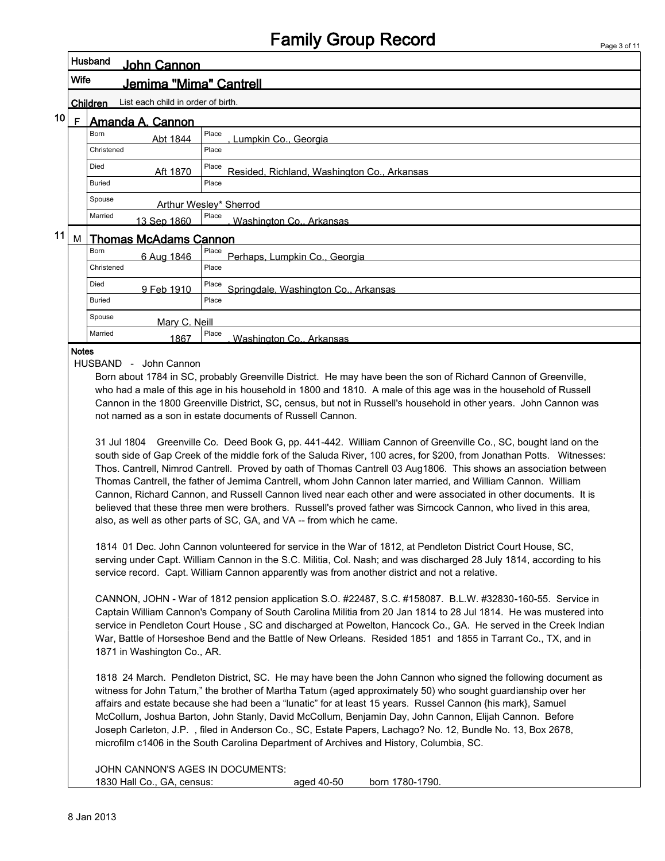|    |      |                                                | <b>Family Group Record</b><br>Page 3 of 11                                                                                                                                                                                                                                                                                                                                                                                                                                                                                                                                                                                                                                                                                                                                                                                                                                                                                                                                                                                                                                                                                                                                                                                                                                                                          |
|----|------|------------------------------------------------|---------------------------------------------------------------------------------------------------------------------------------------------------------------------------------------------------------------------------------------------------------------------------------------------------------------------------------------------------------------------------------------------------------------------------------------------------------------------------------------------------------------------------------------------------------------------------------------------------------------------------------------------------------------------------------------------------------------------------------------------------------------------------------------------------------------------------------------------------------------------------------------------------------------------------------------------------------------------------------------------------------------------------------------------------------------------------------------------------------------------------------------------------------------------------------------------------------------------------------------------------------------------------------------------------------------------|
|    |      | Husband<br>John Cannon                         |                                                                                                                                                                                                                                                                                                                                                                                                                                                                                                                                                                                                                                                                                                                                                                                                                                                                                                                                                                                                                                                                                                                                                                                                                                                                                                                     |
|    | Wife | Jemima "Mima" Cantrell                         |                                                                                                                                                                                                                                                                                                                                                                                                                                                                                                                                                                                                                                                                                                                                                                                                                                                                                                                                                                                                                                                                                                                                                                                                                                                                                                                     |
|    |      | List each child in order of birth.<br>Children |                                                                                                                                                                                                                                                                                                                                                                                                                                                                                                                                                                                                                                                                                                                                                                                                                                                                                                                                                                                                                                                                                                                                                                                                                                                                                                                     |
| 10 | F.   | Amanda A. Cannon                               |                                                                                                                                                                                                                                                                                                                                                                                                                                                                                                                                                                                                                                                                                                                                                                                                                                                                                                                                                                                                                                                                                                                                                                                                                                                                                                                     |
|    |      | Born<br>Abt 1844                               | Place<br>Lumpkin Co., Georgia                                                                                                                                                                                                                                                                                                                                                                                                                                                                                                                                                                                                                                                                                                                                                                                                                                                                                                                                                                                                                                                                                                                                                                                                                                                                                       |
|    |      | Christened                                     | Place                                                                                                                                                                                                                                                                                                                                                                                                                                                                                                                                                                                                                                                                                                                                                                                                                                                                                                                                                                                                                                                                                                                                                                                                                                                                                                               |
|    |      | Died<br>Aft 1870                               | Place<br>Resided, Richland, Washington Co., Arkansas                                                                                                                                                                                                                                                                                                                                                                                                                                                                                                                                                                                                                                                                                                                                                                                                                                                                                                                                                                                                                                                                                                                                                                                                                                                                |
|    |      | <b>Buried</b>                                  | Place                                                                                                                                                                                                                                                                                                                                                                                                                                                                                                                                                                                                                                                                                                                                                                                                                                                                                                                                                                                                                                                                                                                                                                                                                                                                                                               |
|    |      | Spouse                                         | Arthur Wesley* Sherrod                                                                                                                                                                                                                                                                                                                                                                                                                                                                                                                                                                                                                                                                                                                                                                                                                                                                                                                                                                                                                                                                                                                                                                                                                                                                                              |
|    |      | Married<br>13 Sep 1860                         | Place<br>Washington Co., Arkansas                                                                                                                                                                                                                                                                                                                                                                                                                                                                                                                                                                                                                                                                                                                                                                                                                                                                                                                                                                                                                                                                                                                                                                                                                                                                                   |
| 11 | M    | <b>Thomas McAdams Cannon</b>                   |                                                                                                                                                                                                                                                                                                                                                                                                                                                                                                                                                                                                                                                                                                                                                                                                                                                                                                                                                                                                                                                                                                                                                                                                                                                                                                                     |
|    |      | Born<br>6 Aug 1846                             | Place<br>Perhaps, Lumpkin Co., Georgia                                                                                                                                                                                                                                                                                                                                                                                                                                                                                                                                                                                                                                                                                                                                                                                                                                                                                                                                                                                                                                                                                                                                                                                                                                                                              |
|    |      | Christened                                     | Place                                                                                                                                                                                                                                                                                                                                                                                                                                                                                                                                                                                                                                                                                                                                                                                                                                                                                                                                                                                                                                                                                                                                                                                                                                                                                                               |
|    |      | Died<br>9 Feb 1910                             | Place<br>Springdale, Washington Co., Arkansas                                                                                                                                                                                                                                                                                                                                                                                                                                                                                                                                                                                                                                                                                                                                                                                                                                                                                                                                                                                                                                                                                                                                                                                                                                                                       |
|    |      | <b>Buried</b>                                  | Place                                                                                                                                                                                                                                                                                                                                                                                                                                                                                                                                                                                                                                                                                                                                                                                                                                                                                                                                                                                                                                                                                                                                                                                                                                                                                                               |
|    |      | Spouse<br>Mary C. Neill                        |                                                                                                                                                                                                                                                                                                                                                                                                                                                                                                                                                                                                                                                                                                                                                                                                                                                                                                                                                                                                                                                                                                                                                                                                                                                                                                                     |
|    |      | Married<br>1867                                | Place<br>Washington Co., Arkansas                                                                                                                                                                                                                                                                                                                                                                                                                                                                                                                                                                                                                                                                                                                                                                                                                                                                                                                                                                                                                                                                                                                                                                                                                                                                                   |
|    |      |                                                | Cannon in the 1800 Greenville District, SC, census, but not in Russell's household in other years. John Cannon was<br>not named as a son in estate documents of Russell Cannon.<br>31 Jul 1804 Greenville Co. Deed Book G, pp. 441-442. William Cannon of Greenville Co., SC, bought land on the<br>south side of Gap Creek of the middle fork of the Saluda River, 100 acres, for \$200, from Jonathan Potts. Witnesses:<br>Thos. Cantrell, Nimrod Cantrell. Proved by oath of Thomas Cantrell 03 Aug1806. This shows an association between<br>Thomas Cantrell, the father of Jemima Cantrell, whom John Cannon later married, and William Cannon. William<br>Cannon, Richard Cannon, and Russell Cannon lived near each other and were associated in other documents. It is<br>believed that these three men were brothers. Russell's proved father was Simcock Cannon, who lived in this area,<br>also, as well as other parts of SC, GA, and VA -- from which he came.<br>1814 01 Dec. John Cannon volunteered for service in the War of 1812, at Pendleton District Court House, SC,<br>serving under Capt. William Cannon in the S.C. Militia, Col. Nash; and was discharged 28 July 1814, according to his<br>service record. Capt. William Cannon apparently was from another district and not a relative. |
|    |      | 1871 in Washington Co., AR.                    | CANNON, JOHN - War of 1812 pension application S.O. #22487, S.C. #158087. B.L.W. #32830-160-55. Service in<br>Captain William Cannon's Company of South Carolina Militia from 20 Jan 1814 to 28 Jul 1814. He was mustered into<br>service in Pendleton Court House, SC and discharged at Powelton, Hancock Co., GA. He served in the Creek Indian<br>War, Battle of Horseshoe Bend and the Battle of New Orleans. Resided 1851 and 1855 in Tarrant Co., TX, and in<br>1818 24 March. Pendleton District, SC. He may have been the John Cannon who signed the following document as<br>witness for John Tatum," the brother of Martha Tatum (aged approximately 50) who sought guardianship over her<br>affairs and estate because she had been a "lunatic" for at least 15 years. Russel Cannon {his mark}, Samuel<br>McCollum, Joshua Barton, John Stanly, David McCollum, Benjamin Day, John Cannon, Elijah Cannon. Before<br>Joseph Carleton, J.P., filed in Anderson Co., SC, Estate Papers, Lachago? No. 12, Bundle No. 13, Box 2678,<br>microfilm c1406 in the South Carolina Department of Archives and History, Columbia, SC.                                                                                                                                                                               |
|    |      | JOHN CANNON'S AGES IN DOCUMENTS:               |                                                                                                                                                                                                                                                                                                                                                                                                                                                                                                                                                                                                                                                                                                                                                                                                                                                                                                                                                                                                                                                                                                                                                                                                                                                                                                                     |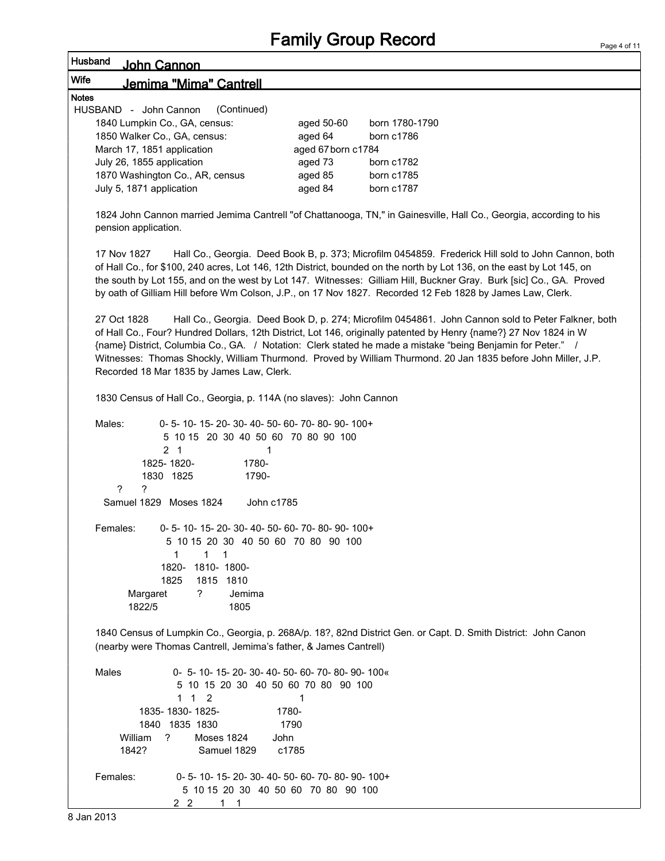| Husband<br>John Cannon                                                                                                           |                                                                                                |                                                                                                                                                                                                                                                                                                                                                                                                                                                                   |
|----------------------------------------------------------------------------------------------------------------------------------|------------------------------------------------------------------------------------------------|-------------------------------------------------------------------------------------------------------------------------------------------------------------------------------------------------------------------------------------------------------------------------------------------------------------------------------------------------------------------------------------------------------------------------------------------------------------------|
| Wife<br>Jemima "Mima" Cantrell                                                                                                   |                                                                                                |                                                                                                                                                                                                                                                                                                                                                                                                                                                                   |
| <b>Notes</b>                                                                                                                     |                                                                                                |                                                                                                                                                                                                                                                                                                                                                                                                                                                                   |
| (Continued)<br>HUSBAND - John Cannon                                                                                             |                                                                                                |                                                                                                                                                                                                                                                                                                                                                                                                                                                                   |
| 1840 Lumpkin Co., GA, census:                                                                                                    | aged 50-60                                                                                     | born 1780-1790                                                                                                                                                                                                                                                                                                                                                                                                                                                    |
| 1850 Walker Co., GA, census:                                                                                                     | aged 64                                                                                        | born c1786                                                                                                                                                                                                                                                                                                                                                                                                                                                        |
| March 17, 1851 application                                                                                                       | aged 67 born c1784                                                                             |                                                                                                                                                                                                                                                                                                                                                                                                                                                                   |
| July 26, 1855 application                                                                                                        | aged 73                                                                                        | born c1782                                                                                                                                                                                                                                                                                                                                                                                                                                                        |
| 1870 Washington Co., AR, census                                                                                                  | aged 85                                                                                        | born c1785                                                                                                                                                                                                                                                                                                                                                                                                                                                        |
| July 5, 1871 application                                                                                                         | aged 84                                                                                        | born c1787                                                                                                                                                                                                                                                                                                                                                                                                                                                        |
| pension application.                                                                                                             |                                                                                                | 1824 John Cannon married Jemima Cantrell "of Chattanooga, TN," in Gainesville, Hall Co., Georgia, according to his                                                                                                                                                                                                                                                                                                                                                |
| 17 Nov 1827                                                                                                                      |                                                                                                | Hall Co., Georgia. Deed Book B, p. 373; Microfilm 0454859. Frederick Hill sold to John Cannon, both<br>of Hall Co., for \$100, 240 acres, Lot 146, 12th District, bounded on the north by Lot 136, on the east by Lot 145, on<br>the south by Lot 155, and on the west by Lot 147. Witnesses: Gilliam Hill, Buckner Gray. Burk [sic] Co., GA. Proved<br>by oath of Gilliam Hill before Wm Colson, J.P., on 17 Nov 1827. Recorded 12 Feb 1828 by James Law, Clerk. |
| 27 Oct 1828<br>Recorded 18 Mar 1835 by James Law, Clerk.                                                                         |                                                                                                | Hall Co., Georgia. Deed Book D, p. 274; Microfilm 0454861. John Cannon sold to Peter Falkner, both<br>of Hall Co., Four? Hundred Dollars, 12th District, Lot 146, originally patented by Henry {name?} 27 Nov 1824 in W<br>{name} District, Columbia Co., GA. / Notation: Clerk stated he made a mistake "being Benjamin for Peter." /<br>Witnesses: Thomas Shockly, William Thurmond. Proved by William Thurmond. 20 Jan 1835 before John Miller, J.P.           |
| 1830 Census of Hall Co., Georgia, p. 114A (no slaves): John Cannon                                                               |                                                                                                |                                                                                                                                                                                                                                                                                                                                                                                                                                                                   |
| Males:<br>0-5-10-15-20-30-40-50-60-70-80-90-100+<br>5 10 15 20 30 40 50 60 70 80 90 100<br>2 <sub>1</sub><br>1780-<br>1825-1820- | 1                                                                                              |                                                                                                                                                                                                                                                                                                                                                                                                                                                                   |
| 1830 1825<br>1790-                                                                                                               |                                                                                                |                                                                                                                                                                                                                                                                                                                                                                                                                                                                   |
| ?<br>?<br>Samuel 1829 Moses 1824                                                                                                 | John c1785                                                                                     |                                                                                                                                                                                                                                                                                                                                                                                                                                                                   |
|                                                                                                                                  |                                                                                                |                                                                                                                                                                                                                                                                                                                                                                                                                                                                   |
| Females:<br>0-5-10-15-20-30-40-50-60-70-80-90-100+                                                                               |                                                                                                |                                                                                                                                                                                                                                                                                                                                                                                                                                                                   |
| 5 10 15 20 30 40 50 60 70 80 90 100                                                                                              |                                                                                                |                                                                                                                                                                                                                                                                                                                                                                                                                                                                   |
| 1<br>$1 \quad 1$<br>1820-<br>1810-1800-                                                                                          |                                                                                                |                                                                                                                                                                                                                                                                                                                                                                                                                                                                   |
| 1815 1810<br>1825                                                                                                                |                                                                                                |                                                                                                                                                                                                                                                                                                                                                                                                                                                                   |
| ?<br>Margaret<br>Jemima                                                                                                          |                                                                                                |                                                                                                                                                                                                                                                                                                                                                                                                                                                                   |
| 1822/5<br>1805                                                                                                                   |                                                                                                |                                                                                                                                                                                                                                                                                                                                                                                                                                                                   |
| (nearby were Thomas Cantrell, Jemima's father, & James Cantrell)                                                                 |                                                                                                | 1840 Census of Lumpkin Co., Georgia, p. 268A/p. 18?, 82nd District Gen. or Capt. D. Smith District: John Canon                                                                                                                                                                                                                                                                                                                                                    |
| Males<br>1 1 2                                                                                                                   | 0- 5- 10- 15- 20- 30- 40- 50- 60- 70- 80- 90- 100«<br>5 10 15 20 30 40 50 60 70 80 90 100<br>1 |                                                                                                                                                                                                                                                                                                                                                                                                                                                                   |
| 1835-1830-1825-                                                                                                                  | 1780-                                                                                          |                                                                                                                                                                                                                                                                                                                                                                                                                                                                   |
| 1840 1835 1830                                                                                                                   | 1790                                                                                           |                                                                                                                                                                                                                                                                                                                                                                                                                                                                   |
| William<br>?<br><b>Moses 1824</b>                                                                                                | John                                                                                           |                                                                                                                                                                                                                                                                                                                                                                                                                                                                   |
| 1842?<br>Samuel 1829                                                                                                             | c1785                                                                                          |                                                                                                                                                                                                                                                                                                                                                                                                                                                                   |
| Females:<br>$2\quad 2$<br>$1 \quad 1$                                                                                            | 0-5-10-15-20-30-40-50-60-70-80-90-100+<br>5 10 15 20 30 40 50 60 70 80 90 100                  |                                                                                                                                                                                                                                                                                                                                                                                                                                                                   |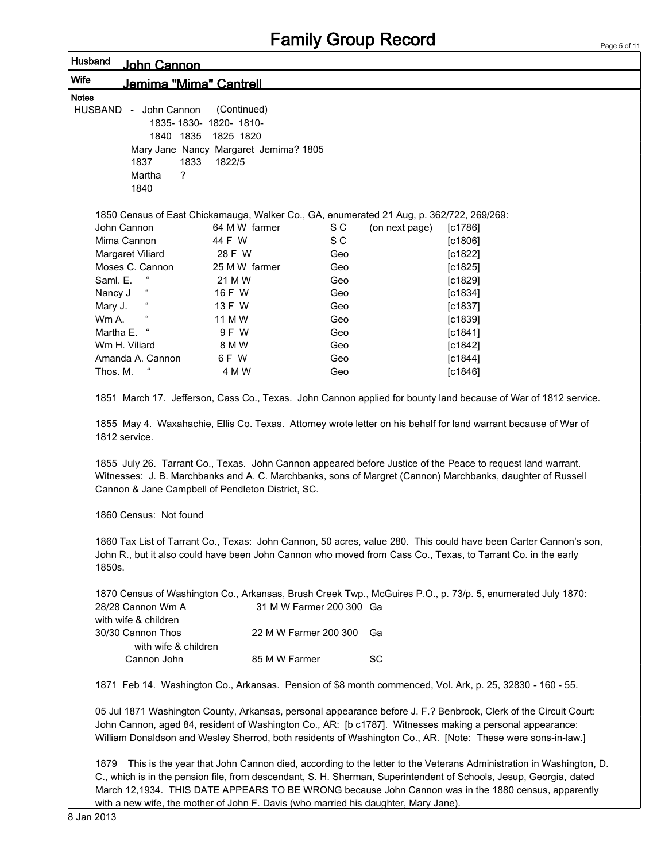### John Cannon Wife Jemima "Mima" Cantrell Notes HUSBAND - John Cannon (Continued) 1835- 1830- 1820- 1810- 1840 1835 1825 1820 Mary Jane Nancy Margaret Jemima? 1805 1837 1833 1822/5 Martha ? 1840 1850 Census of East Chickamauga, Walker Co., GA, enumerated 21 Aug, p. 362/722, 269/269: John Cannon 64 M W farmer S C (on next page) [c1786] Mima Cannon  $44$  F W S C [c1806] Margaret Viliard 28 F W Geo [c1822] Moses C. Cannon 25 M W farmer Geo Geo [c1825] Saml. E. " 21 M W Geo [c1829] Nancy J " 16 F W Geo [c1834] Mary J. " 13 F W Geo [c1837] Wm A. " 11 M W Geo [c1839] Martha E. " 9 F W Geo [c1841] Wm H. Viliard 8 M W Geo [c1842] Amanda A. Cannon  $6 F W$  Geo [c1844] Thos. M. " 4 M W Geo [c1846] 1851 March 17. Jefferson, Cass Co., Texas. John Cannon applied for bounty land because of War of 1812 service. 1855 May 4. Waxahachie, Ellis Co. Texas. Attorney wrote letter on his behalf for land warrant because of War of 1812 service. 1855 July 26. Tarrant Co., Texas. John Cannon appeared before Justice of the Peace to request land warrant. Witnesses: J. B. Marchbanks and A. C. Marchbanks, sons of Margret (Cannon) Marchbanks, daughter of Russell Cannon & Jane Campbell of Pendleton District, SC. 1860 Census: Not found 1860 Tax List of Tarrant Co., Texas: John Cannon, 50 acres, value 280. This could have been Carter Cannon's son, John R., but it also could have been John Cannon who moved from Cass Co., Texas, to Tarrant Co. in the early 1850s. 1870 Census of Washington Co., Arkansas, Brush Creek Twp., McGuires P.O., p. 73/p. 5, enumerated July 1870: 28/28 Cannon Wm A 31 M W Farmer 200 300 Ga with wife & children 30/30 Cannon Thos 22 M W Farmer 200 300 Ga with wife & children Cannon John 85 M W Farmer SC 1871 Feb 14. Washington Co., Arkansas. Pension of \$8 month commenced, Vol. Ark, p. 25, 32830 - 160 - 55. 05 Jul 1871 Washington County, Arkansas, personal appearance before J. F.? Benbrook, Clerk of the Circuit Court: John Cannon, aged 84, resident of Washington Co., AR: [b c1787]. Witnesses making a personal appearance: William Donaldson and Wesley Sherrod, both residents of Washington Co., AR. [Note: These were sons-in-law.] 1879 This is the year that John Cannon died, according to the letter to the Veterans Administration in Washington, D.

C., which is in the pension file, from descendant, S. H. Sherman, Superintendent of Schools, Jesup, Georgia, dated March 12,1934. THIS DATE APPEARS TO BE WRONG because John Cannon was in the 1880 census, apparently with a new wife, the mother of John F. Davis (who married his daughter, Mary Jane).

Husband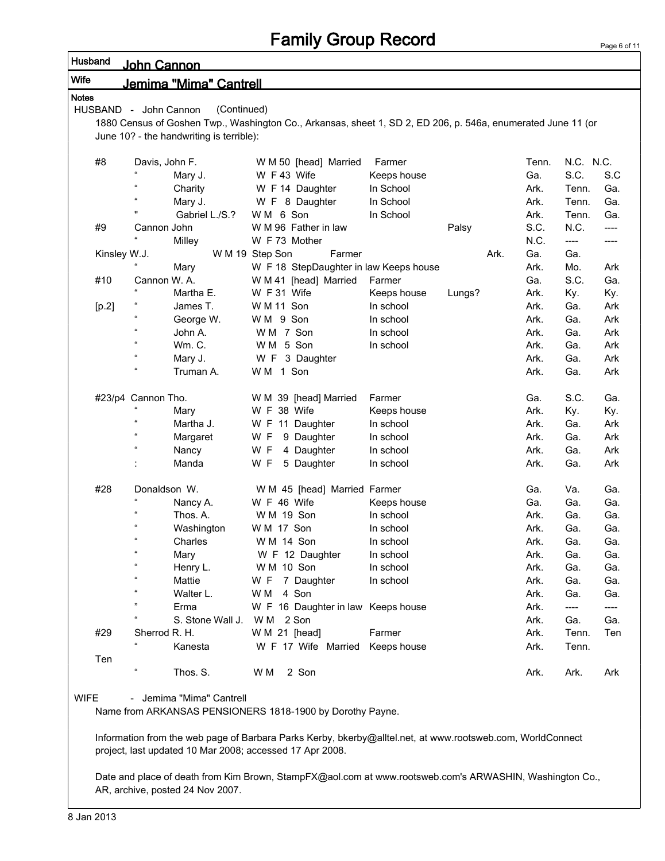| <b>Notes</b> |                       | Jemima "Mima" Cantrell                   |                                                                                                              |             |        |      |       |                       |       |
|--------------|-----------------------|------------------------------------------|--------------------------------------------------------------------------------------------------------------|-------------|--------|------|-------|-----------------------|-------|
|              | HUSBAND - John Cannon | (Continued)                              |                                                                                                              |             |        |      |       |                       |       |
|              |                       |                                          | 1880 Census of Goshen Twp., Washington Co., Arkansas, sheet 1, SD 2, ED 206, p. 546a, enumerated June 11 (or |             |        |      |       |                       |       |
|              |                       | June 10? - the handwriting is terrible): |                                                                                                              |             |        |      |       |                       |       |
| #8           |                       | Davis, John F.                           | W M 50 [head] Married                                                                                        | Farmer      |        |      | Tenn. | N.C. N.C.             |       |
|              |                       | Mary J.                                  | W F 43 Wife                                                                                                  | Keeps house |        |      | Ga.   | S.C.                  | S.C   |
|              | $\alpha$              | Charity                                  | W F 14 Daughter                                                                                              | In School   |        |      | Ark.  | Tenn.                 | Ga.   |
|              | $\alpha$              | Mary J.                                  | W F 8 Daughter                                                                                               | In School   |        |      | Ark.  | Tenn.                 | Ga.   |
|              | Ħ                     | Gabriel L./S.?                           | WM 6 Son                                                                                                     | In School   |        |      | Ark.  | Tenn.                 | Ga.   |
| #9           | Cannon John           |                                          | W M 96 Father in law                                                                                         |             | Palsy  |      | S.C.  | N.C.                  | $---$ |
|              |                       | Milley                                   | W F 73 Mother                                                                                                |             |        |      | N.C.  | $\qquad \qquad - - -$ | ----  |
| Kinsley W.J. |                       |                                          | W M 19 Step Son<br>Farmer                                                                                    |             |        | Ark. | Ga.   | Ga.                   |       |
|              |                       | Mary                                     | W F 18 StepDaughter in law Keeps house                                                                       |             |        |      | Ark.  | Mo.                   | Ark   |
| #10          |                       | Cannon W. A.                             | W M 41 [head] Married                                                                                        | Farmer      |        |      | Ga.   | S.C.                  | Ga.   |
|              |                       | Martha E.                                | W F 31 Wife                                                                                                  | Keeps house | Lungs? |      | Ark.  | Ky.                   | Ky.   |
| [p.2]        |                       | James T.                                 | W M 11 Son                                                                                                   | In school   |        |      | Ark.  | Ga.                   | Ark   |
|              | $\alpha$              | George W.                                | WM 9 Son                                                                                                     | In school   |        |      | Ark.  | Ga.                   | Ark   |
|              | $\alpha$              | John A.                                  | WM 7 Son                                                                                                     | In school   |        |      | Ark.  | Ga.                   | Ark   |
|              | $\alpha$              | <b>Wm. C.</b>                            | WM 5 Son                                                                                                     | In school   |        |      | Ark.  | Ga.                   | Ark   |
|              | $\alpha$              | Mary J.                                  | W F 3 Daughter                                                                                               |             |        |      | Ark.  | Ga.                   | Ark   |
|              | $\alpha$              | Truman A.                                | WM 1 Son                                                                                                     |             |        |      | Ark.  | Ga.                   | Ark   |
|              | #23/p4 Cannon Tho.    |                                          | W M 39 [head] Married                                                                                        | Farmer      |        |      | Ga.   | S.C.                  | Ga.   |
|              | $\alpha$              | Mary                                     | W F 38 Wife                                                                                                  | Keeps house |        |      | Ark.  | Ky.                   | Ky.   |
|              | $\alpha$              | Martha J.                                | W F 11 Daughter                                                                                              | In school   |        |      | Ark.  | Ga.                   | Ark   |
|              | $\alpha$              | Margaret                                 | W F<br>9 Daughter                                                                                            | In school   |        |      | Ark.  | Ga.                   | Ark   |
|              | $\alpha$              | Nancy                                    | W F<br>4 Daughter                                                                                            | In school   |        |      | Ark.  | Ga.                   | Ark   |
|              |                       | Manda                                    | W F<br>5 Daughter                                                                                            | In school   |        |      | Ark.  | Ga.                   | Ark   |
| #28          |                       | Donaldson W.                             | W M 45 [head] Married Farmer                                                                                 |             |        |      | Ga.   | Va.                   | Ga.   |
|              | $\alpha$              | Nancy A.                                 | W F 46 Wife                                                                                                  | Keeps house |        |      | Ga.   | Ga.                   | Ga.   |
|              | $\epsilon$            | Thos. A.                                 | W M 19 Son                                                                                                   | In school   |        |      | Ark.  | Ga.                   | Ga.   |
|              |                       | Washington                               | W M 17 Son                                                                                                   | In school   |        |      | Ark.  | Ga.                   | Ga.   |
|              | $\epsilon$            | Charles                                  | W M 14 Son                                                                                                   | In school   |        |      | Ark.  | Ga.                   | Ga.   |
|              | $\alpha$              | Mary                                     | W F 12 Daughter                                                                                              | In school   |        |      | Ark.  | Ga.                   | Ga.   |
|              |                       | Henry L.                                 | W M 10 Son                                                                                                   | In school   |        |      | Ark.  | Ga.                   | Ga.   |
|              | $\epsilon$            | Mattie                                   | W F 7 Daughter                                                                                               | In school   |        |      | Ark.  | Ga.                   | Ga.   |
|              | $\epsilon$            | Walter L.                                | 4 Son<br>W M                                                                                                 |             |        |      | Ark.  | Ga.                   | Ga.   |
|              |                       | Erma                                     | W F 16 Daughter in law Keeps house                                                                           |             |        |      | Ark.  | $\qquad \qquad - - -$ | ----  |
|              | $\epsilon$            | S. Stone Wall J. W M 2 Son               |                                                                                                              |             |        |      | Ark.  | Ga.                   | Ga.   |
| #29          |                       | Sherrod R. H.                            | W M 21 [head]                                                                                                | Farmer      |        |      | Ark.  | Tenn.                 | Ten   |
|              |                       | Kanesta                                  | W F 17 Wife Married                                                                                          | Keeps house |        |      | Ark.  | Tenn.                 |       |
| Ten          | ĸ                     |                                          |                                                                                                              |             |        |      |       |                       |       |
|              |                       | Thos. S.                                 | 2 Son<br>W M                                                                                                 |             |        |      | Ark.  | Ark.                  | Ark   |
| <b>WIFE</b>  |                       | - Jemima "Mima" Cantrell                 |                                                                                                              |             |        |      |       |                       |       |
|              |                       |                                          | Name from ARKANSAS PENSIONERS 1818-1900 by Dorothy Payne.                                                    |             |        |      |       |                       |       |

Date and place of death from Kim Brown, StampFX@aol.com at www.rootsweb.com's ARWASHIN, Washington Co., AR, archive, posted 24 Nov 2007.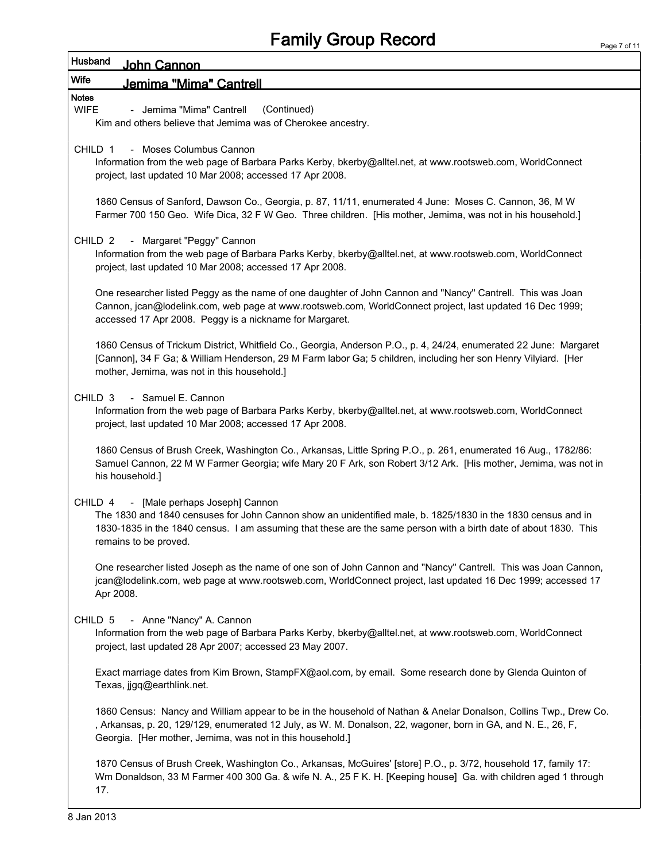#### Wife Jemima "Mima" Cantrell Notes

Husband

WIFE - Jemima "Mima" Cantrell (Continued)

Kim and others believe that Jemima was of Cherokee ancestry.

CHILD 1 - Moses Columbus Cannon

John Cannon

Information from the web page of Barbara Parks Kerby, bkerby@alltel.net, at www.rootsweb.com, WorldConnect project, last updated 10 Mar 2008; accessed 17 Apr 2008.

1860 Census of Sanford, Dawson Co., Georgia, p. 87, 11/11, enumerated 4 June: Moses C. Cannon, 36, M W Farmer 700 150 Geo. Wife Dica, 32 F W Geo. Three children. [His mother, Jemima, was not in his household.]

CHILD 2 - Margaret "Peggy" Cannon

Information from the web page of Barbara Parks Kerby, bkerby@alltel.net, at www.rootsweb.com, WorldConnect project, last updated 10 Mar 2008; accessed 17 Apr 2008.

One researcher listed Peggy as the name of one daughter of John Cannon and "Nancy" Cantrell. This was Joan Cannon, jcan@lodelink.com, web page at www.rootsweb.com, WorldConnect project, last updated 16 Dec 1999; accessed 17 Apr 2008. Peggy is a nickname for Margaret.

1860 Census of Trickum District, Whitfield Co., Georgia, Anderson P.O., p. 4, 24/24, enumerated 22 June: Margaret [Cannon], 34 F Ga; & William Henderson, 29 M Farm labor Ga; 5 children, including her son Henry Vilyiard. [Her mother, Jemima, was not in this household.]

CHILD 3 - Samuel E. Cannon

Information from the web page of Barbara Parks Kerby, bkerby@alltel.net, at www.rootsweb.com, WorldConnect project, last updated 10 Mar 2008; accessed 17 Apr 2008.

1860 Census of Brush Creek, Washington Co., Arkansas, Little Spring P.O., p. 261, enumerated 16 Aug., 1782/86: Samuel Cannon, 22 M W Farmer Georgia; wife Mary 20 F Ark, son Robert 3/12 Ark. [His mother, Jemima, was not in his household.]

#### CHILD 4 - [Male perhaps Joseph] Cannon

The 1830 and 1840 censuses for John Cannon show an unidentified male, b. 1825/1830 in the 1830 census and in 1830-1835 in the 1840 census. I am assuming that these are the same person with a birth date of about 1830. This remains to be proved.

One researcher listed Joseph as the name of one son of John Cannon and "Nancy" Cantrell. This was Joan Cannon, jcan@lodelink.com, web page at www.rootsweb.com, WorldConnect project, last updated 16 Dec 1999; accessed 17 Apr 2008.

CHILD 5 - Anne "Nancy" A. Cannon

Information from the web page of Barbara Parks Kerby, bkerby@alltel.net, at www.rootsweb.com, WorldConnect project, last updated 28 Apr 2007; accessed 23 May 2007.

Exact marriage dates from Kim Brown, StampFX@aol.com, by email. Some research done by Glenda Quinton of Texas, jjgq@earthlink.net.

1860 Census: Nancy and William appear to be in the household of Nathan & Anelar Donalson, Collins Twp., Drew Co. , Arkansas, p. 20, 129/129, enumerated 12 July, as W. M. Donalson, 22, wagoner, born in GA, and N. E., 26, F, Georgia. [Her mother, Jemima, was not in this household.]

1870 Census of Brush Creek, Washington Co., Arkansas, McGuires' [store] P.O., p. 3/72, household 17, family 17: Wm Donaldson, 33 M Farmer 400 300 Ga. & wife N. A., 25 F K. H. [Keeping house] Ga. with children aged 1 through 17.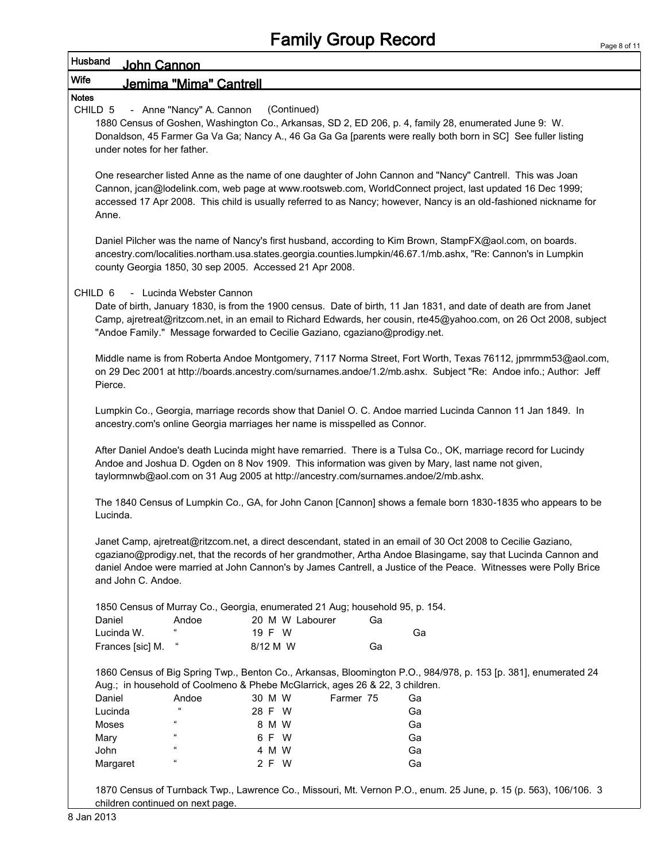| Husband      | John Cannon                 |                                                                                                         |          |                 |    |                                                                                                                                                                                         |                                                                                                                                                                                                                                                                                                                                                     |
|--------------|-----------------------------|---------------------------------------------------------------------------------------------------------|----------|-----------------|----|-----------------------------------------------------------------------------------------------------------------------------------------------------------------------------------------|-----------------------------------------------------------------------------------------------------------------------------------------------------------------------------------------------------------------------------------------------------------------------------------------------------------------------------------------------------|
| Wife         |                             | Jemima "Mima" Cantrell                                                                                  |          |                 |    |                                                                                                                                                                                         |                                                                                                                                                                                                                                                                                                                                                     |
| <b>Notes</b> |                             |                                                                                                         |          |                 |    |                                                                                                                                                                                         |                                                                                                                                                                                                                                                                                                                                                     |
| CHILD 5      | under notes for her father. | - Anne "Nancy" A. Cannon                                                                                |          | (Continued)     |    | 1880 Census of Goshen, Washington Co., Arkansas, SD 2, ED 206, p. 4, family 28, enumerated June 9: W.                                                                                   | Donaldson, 45 Farmer Ga Va Ga; Nancy A., 46 Ga Ga Ga [parents were really both born in SC] See fuller listing                                                                                                                                                                                                                                       |
|              | Anne.                       |                                                                                                         |          |                 |    |                                                                                                                                                                                         | One researcher listed Anne as the name of one daughter of John Cannon and "Nancy" Cantrell. This was Joan<br>Cannon, jcan@lodelink.com, web page at www.rootsweb.com, WorldConnect project, last updated 16 Dec 1999;<br>accessed 17 Apr 2008. This child is usually referred to as Nancy; however, Nancy is an old-fashioned nickname for          |
|              |                             | county Georgia 1850, 30 sep 2005. Accessed 21 Apr 2008.                                                 |          |                 |    |                                                                                                                                                                                         | Daniel Pilcher was the name of Nancy's first husband, according to Kim Brown, StampFX@aol.com, on boards.<br>ancestry.com/localities.northam.usa.states.georgia.counties.lumpkin/46.67.1/mb.ashx, "Re: Cannon's in Lumpkin                                                                                                                          |
| CHILD 6      |                             | - Lucinda Webster Cannon<br>"Andoe Family." Message forwarded to Cecilie Gaziano, cgaziano@prodigy.net. |          |                 |    |                                                                                                                                                                                         | Date of birth, January 1830, is from the 1900 census. Date of birth, 11 Jan 1831, and date of death are from Janet<br>Camp, ajretreat@ritzcom.net, in an email to Richard Edwards, her cousin, rte45@yahoo.com, on 26 Oct 2008, subject                                                                                                             |
|              | Pierce.                     |                                                                                                         |          |                 |    |                                                                                                                                                                                         | Middle name is from Roberta Andoe Montgomery, 7117 Norma Street, Fort Worth, Texas 76112, jpmrmm53@aol.com,<br>on 29 Dec 2001 at http://boards.ancestry.com/surnames.andoe/1.2/mb.ashx. Subject "Re: Andoe info.; Author: Jeff                                                                                                                      |
|              |                             | ancestry.com's online Georgia marriages her name is misspelled as Connor.                               |          |                 |    |                                                                                                                                                                                         | Lumpkin Co., Georgia, marriage records show that Daniel O. C. Andoe married Lucinda Cannon 11 Jan 1849. In                                                                                                                                                                                                                                          |
|              |                             |                                                                                                         |          |                 |    | Andoe and Joshua D. Ogden on 8 Nov 1909. This information was given by Mary, last name not given,<br>taylormnwb@aol.com on 31 Aug 2005 at http://ancestry.com/surnames.andoe/2/mb.ashx. | After Daniel Andoe's death Lucinda might have remarried. There is a Tulsa Co., OK, marriage record for Lucindy                                                                                                                                                                                                                                      |
|              | Lucinda.                    |                                                                                                         |          |                 |    |                                                                                                                                                                                         | The 1840 Census of Lumpkin Co., GA, for John Canon [Cannon] shows a female born 1830-1835 who appears to be                                                                                                                                                                                                                                         |
|              | and John C. Andoe.          |                                                                                                         |          |                 |    |                                                                                                                                                                                         | Janet Camp, ajretreat@ritzcom.net, a direct descendant, stated in an email of 30 Oct 2008 to Cecilie Gaziano,<br>cgaziano@prodigy.net, that the records of her grandmother, Artha Andoe Blasingame, say that Lucinda Cannon and<br>daniel Andoe were married at John Cannon's by James Cantrell, a Justice of the Peace. Witnesses were Polly Brice |
|              |                             | 1850 Census of Murray Co., Georgia, enumerated 21 Aug; household 95, p. 154.                            |          |                 |    |                                                                                                                                                                                         |                                                                                                                                                                                                                                                                                                                                                     |
|              | Daniel                      | Andoe                                                                                                   |          | 20 M W Labourer | Ga |                                                                                                                                                                                         |                                                                                                                                                                                                                                                                                                                                                     |
|              | Lucinda W.                  | $\epsilon$                                                                                              | 19 F W   |                 |    | Ga                                                                                                                                                                                      |                                                                                                                                                                                                                                                                                                                                                     |
|              | Frances [sic] M.            |                                                                                                         | 8/12 M W |                 | Ga |                                                                                                                                                                                         |                                                                                                                                                                                                                                                                                                                                                     |
|              |                             | Aug.; in household of Coolmeno & Phebe McGlarrick, ages 26 & 22, 3 children.                            |          |                 |    |                                                                                                                                                                                         | 1860 Census of Big Spring Twp., Benton Co., Arkansas, Bloomington P.O., 984/978, p. 153 [p. 381], enumerated 24                                                                                                                                                                                                                                     |
|              | Daniel                      | Andoe                                                                                                   | 30 M W   | Farmer 75       |    | Ga                                                                                                                                                                                      |                                                                                                                                                                                                                                                                                                                                                     |
|              | Lucinda                     | $\mathfrak{c}\mathfrak{c}$                                                                              | 28 F W   |                 |    | Ga                                                                                                                                                                                      |                                                                                                                                                                                                                                                                                                                                                     |
|              | Moses                       | $\alpha$                                                                                                | 8 M W    |                 |    | Ga                                                                                                                                                                                      |                                                                                                                                                                                                                                                                                                                                                     |
|              | Mary                        |                                                                                                         | 6 F W    |                 |    | Ga                                                                                                                                                                                      |                                                                                                                                                                                                                                                                                                                                                     |
|              | John                        |                                                                                                         | 4 M W    |                 |    | Ga                                                                                                                                                                                      |                                                                                                                                                                                                                                                                                                                                                     |
|              | Margaret                    | $\alpha$                                                                                                | 2 F W    |                 |    | Ga                                                                                                                                                                                      |                                                                                                                                                                                                                                                                                                                                                     |
|              |                             |                                                                                                         |          |                 |    |                                                                                                                                                                                         | 1870 Census of Turnback Twp., Lawrence Co., Missouri, Mt. Vernon P.O., enum. 25 June, p. 15 (p. 563), 106/106. 3                                                                                                                                                                                                                                    |

children continued on next page.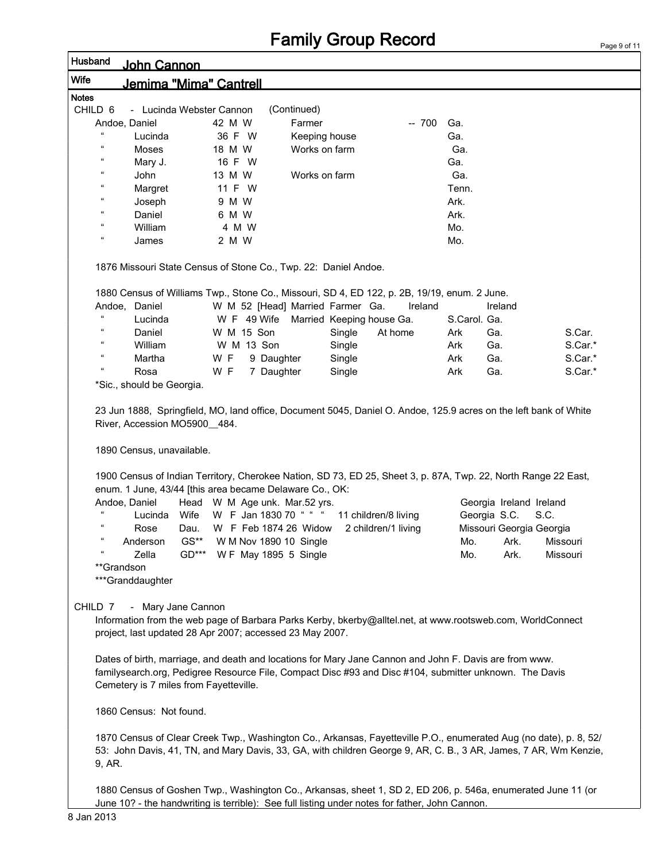## Family Group Record

| Husband      |                            | John Cannon                            |         |        |                                                                 |               |        |                                                                                                                                                                                                                                       |              |                          |          |         |
|--------------|----------------------------|----------------------------------------|---------|--------|-----------------------------------------------------------------|---------------|--------|---------------------------------------------------------------------------------------------------------------------------------------------------------------------------------------------------------------------------------------|--------------|--------------------------|----------|---------|
| Wife         |                            | Jemima "Mima" Cantrell                 |         |        |                                                                 |               |        |                                                                                                                                                                                                                                       |              |                          |          |         |
| <b>Notes</b> |                            |                                        |         |        |                                                                 |               |        |                                                                                                                                                                                                                                       |              |                          |          |         |
| CHILD 6      |                            | - Lucinda Webster Cannon               |         |        |                                                                 | (Continued)   |        |                                                                                                                                                                                                                                       |              |                          |          |         |
|              | Andoe, Daniel              |                                        |         | 42 M W |                                                                 | Farmer        |        | $-700$                                                                                                                                                                                                                                | Ga.          |                          |          |         |
|              |                            | Lucinda                                |         | 36 F W |                                                                 | Keeping house |        |                                                                                                                                                                                                                                       | Ga.          |                          |          |         |
|              | 66                         | Moses                                  |         | 18 M W |                                                                 | Works on farm |        |                                                                                                                                                                                                                                       | Ga.          |                          |          |         |
|              | $\mathfrak{c}\mathfrak{c}$ | Mary J.                                |         | 16 F W |                                                                 |               |        |                                                                                                                                                                                                                                       | Ga.          |                          |          |         |
|              | $\mathfrak{c}\mathfrak{c}$ | John                                   |         | 13 M W |                                                                 | Works on farm |        |                                                                                                                                                                                                                                       | Ga.          |                          |          |         |
|              | $\mathfrak{c}\mathfrak{c}$ | Margret                                |         | 11 F W |                                                                 |               |        |                                                                                                                                                                                                                                       | Tenn.        |                          |          |         |
|              | $\epsilon$                 | Joseph                                 |         | 9 M W  |                                                                 |               |        |                                                                                                                                                                                                                                       | Ark.         |                          |          |         |
|              | 66                         | Daniel                                 |         | 6 M W  |                                                                 |               |        |                                                                                                                                                                                                                                       | Ark.         |                          |          |         |
|              | $\mathfrak{c}\mathfrak{c}$ | William                                |         | 4 M W  |                                                                 |               |        |                                                                                                                                                                                                                                       | Mo.          |                          |          |         |
|              | 66                         | James                                  |         | 2 M W  |                                                                 |               |        |                                                                                                                                                                                                                                       | Mo.          |                          |          |         |
|              |                            |                                        |         |        | 1876 Missouri State Census of Stone Co., Twp. 22: Daniel Andoe. |               |        |                                                                                                                                                                                                                                       |              |                          |          |         |
|              |                            |                                        |         |        |                                                                 |               |        | 1880 Census of Williams Twp., Stone Co., Missouri, SD 4, ED 122, p. 2B, 19/19, enum. 2 June.                                                                                                                                          |              |                          |          |         |
|              |                            | Andoe, Daniel                          |         |        | W M 52 [Head] Married Farmer Ga.                                |               |        | Ireland                                                                                                                                                                                                                               |              | Ireland                  |          |         |
|              | 66                         | Lucinda                                |         |        | W F 49 Wife                                                     |               |        | Married Keeping house Ga.                                                                                                                                                                                                             | S.Carol. Ga. |                          |          |         |
|              | $\alpha$                   | Daniel                                 |         |        | W M 15 Son                                                      |               | Single | At home                                                                                                                                                                                                                               | Ark          | Ga.                      |          | S.Car.  |
|              | $\mathfrak{c}\mathfrak{c}$ | William                                |         |        | W M 13 Son                                                      |               | Single |                                                                                                                                                                                                                                       | Ark          | Ga.                      |          | S.Car.* |
|              | $\mathfrak{c}\mathfrak{c}$ | Martha                                 |         | W F    | 9 Daughter                                                      |               | Single |                                                                                                                                                                                                                                       | Ark          | Ga.                      |          | S.Car.* |
|              | $\mathfrak{c}\mathfrak{c}$ | Rosa                                   |         | W F    | 7 Daughter                                                      |               | Single |                                                                                                                                                                                                                                       | Ark          | Ga.                      |          | S.Car.* |
|              |                            | *Sic., should be Georgia.              |         |        |                                                                 |               |        |                                                                                                                                                                                                                                       |              |                          |          |         |
|              |                            | 1890 Census, unavailable.              |         |        | enum. 1 June, 43/44 [this area became Delaware Co., OK:         |               |        | 1900 Census of Indian Territory, Cherokee Nation, SD 73, ED 25, Sheet 3, p. 87A, Twp. 22, North Range 22 East,                                                                                                                        |              |                          |          |         |
|              | Andoe, Daniel              |                                        |         |        | Head W M Age unk. Mar.52 yrs.                                   |               |        |                                                                                                                                                                                                                                       |              | Georgia Ireland Ireland  |          |         |
|              |                            | Lucinda                                | Wife    |        | W F Jan 1830 70 "                                               |               |        | 11 children/8 living                                                                                                                                                                                                                  |              | Georgia S.C.             | S.C.     |         |
|              | $\epsilon$                 | Rose                                   | Dau.    |        | W F Feb 1874 26 Widow                                           |               |        | 2 children/1 living                                                                                                                                                                                                                   |              | Missouri Georgia Georgia |          |         |
|              |                            | Anderson                               | $GS**$  |        | W M Nov 1890 10 Single                                          |               |        |                                                                                                                                                                                                                                       | Mo.          | Ark.                     | Missouri |         |
|              |                            | Zella                                  | $GD***$ |        | W F May 1895 5 Single                                           |               |        |                                                                                                                                                                                                                                       | Mo.          | Ark.                     | Missouri |         |
|              | **Grandson                 | ***Granddaughter                       |         |        |                                                                 |               |        |                                                                                                                                                                                                                                       |              |                          |          |         |
|              | CHILD 7                    | - Mary Jane Cannon                     |         |        | project, last updated 28 Apr 2007; accessed 23 May 2007.        |               |        | Information from the web page of Barbara Parks Kerby, bkerby@alltel.net, at www.rootsweb.com, WorldConnect                                                                                                                            |              |                          |          |         |
|              |                            | Cemetery is 7 miles from Fayetteville. |         |        |                                                                 |               |        | Dates of birth, marriage, and death and locations for Mary Jane Cannon and John F. Davis are from www.<br>familysearch.org, Pedigree Resource File, Compact Disc #93 and Disc #104, submitter unknown. The Davis                      |              |                          |          |         |
|              |                            | 1860 Census: Not found.                |         |        |                                                                 |               |        |                                                                                                                                                                                                                                       |              |                          |          |         |
|              | 9, AR.                     |                                        |         |        |                                                                 |               |        | 1870 Census of Clear Creek Twp., Washington Co., Arkansas, Fayetteville P.O., enumerated Aug (no date), p. 8, 52/<br>53: John Davis, 41, TN, and Mary Davis, 33, GA, with children George 9, AR, C. B., 3 AR, James, 7 AR, Wm Kenzie, |              |                          |          |         |
|              |                            |                                        |         |        |                                                                 |               |        | 1880 Census of Goshen Twp., Washington Co., Arkansas, sheet 1, SD 2, ED 206, p. 546a, enumerated June 11 (or<br>June 10? - the handwriting is terrible): See full listing under notes for father, John Cannon.                        |              |                          |          |         |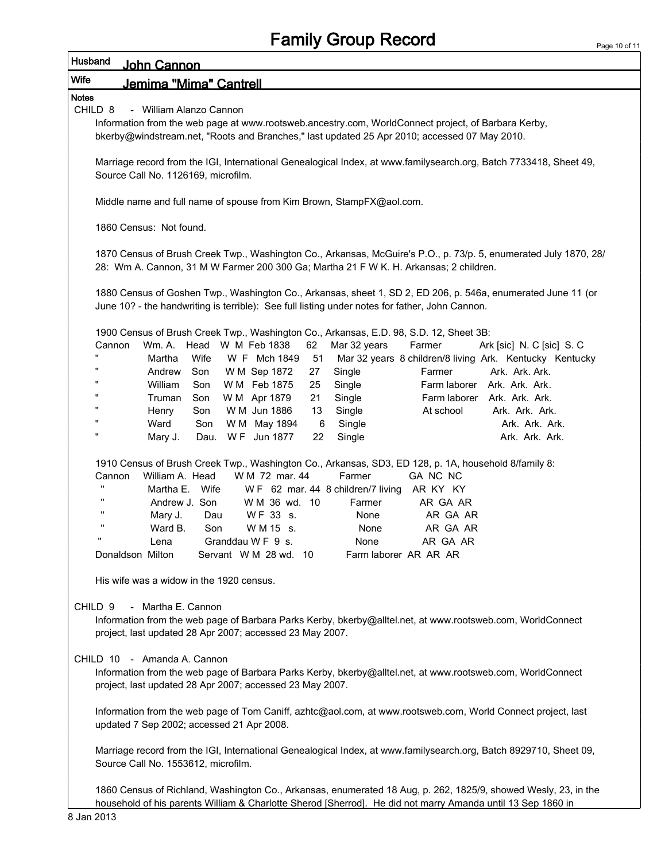| Husband<br>John Cannon                                                                                                                                                                              |  |  |  |  |  |  |  |  |  |
|-----------------------------------------------------------------------------------------------------------------------------------------------------------------------------------------------------|--|--|--|--|--|--|--|--|--|
| Wife<br>Jemima "Mima" Cantrell                                                                                                                                                                      |  |  |  |  |  |  |  |  |  |
| <b>Notes</b>                                                                                                                                                                                        |  |  |  |  |  |  |  |  |  |
| CHILD <sub>8</sub><br>- William Alanzo Cannon                                                                                                                                                       |  |  |  |  |  |  |  |  |  |
| Information from the web page at www.rootsweb.ancestry.com, WorldConnect project, of Barbara Kerby,<br>bkerby@windstream.net, "Roots and Branches," last updated 25 Apr 2010; accessed 07 May 2010. |  |  |  |  |  |  |  |  |  |
|                                                                                                                                                                                                     |  |  |  |  |  |  |  |  |  |
| Marriage record from the IGI, International Genealogical Index, at www.familysearch.org, Batch 7733418, Sheet 49,                                                                                   |  |  |  |  |  |  |  |  |  |
| Source Call No. 1126169, microfilm.                                                                                                                                                                 |  |  |  |  |  |  |  |  |  |
| Middle name and full name of spouse from Kim Brown, StampFX@aol.com.                                                                                                                                |  |  |  |  |  |  |  |  |  |
|                                                                                                                                                                                                     |  |  |  |  |  |  |  |  |  |
| 1860 Census: Not found.                                                                                                                                                                             |  |  |  |  |  |  |  |  |  |
|                                                                                                                                                                                                     |  |  |  |  |  |  |  |  |  |
| 1870 Census of Brush Creek Twp., Washington Co., Arkansas, McGuire's P.O., p. 73/p. 5, enumerated July 1870, 28/                                                                                    |  |  |  |  |  |  |  |  |  |
| 28: Wm A. Cannon, 31 M W Farmer 200 300 Ga; Martha 21 F W K. H. Arkansas; 2 children.                                                                                                               |  |  |  |  |  |  |  |  |  |
| 1880 Census of Goshen Twp., Washington Co., Arkansas, sheet 1, SD 2, ED 206, p. 546a, enumerated June 11 (or                                                                                        |  |  |  |  |  |  |  |  |  |
| June 10? - the handwriting is terrible): See full listing under notes for father, John Cannon.                                                                                                      |  |  |  |  |  |  |  |  |  |
|                                                                                                                                                                                                     |  |  |  |  |  |  |  |  |  |
| 1900 Census of Brush Creek Twp., Washington Co., Arkansas, E.D. 98, S.D. 12, Sheet 3B:                                                                                                              |  |  |  |  |  |  |  |  |  |
| Wm. A.<br>Head W M Feb 1838<br>Cannon<br>62<br>Mar 32 years<br>Farmer<br>Ark [sic] N. C [sic] S. C<br>$\mathbf{u}$                                                                                  |  |  |  |  |  |  |  |  |  |
| Wife<br>Mar 32 years 8 children/8 living Ark. Kentucky Kentucky<br>Martha<br>W F Mch 1849<br>51<br>Farmer<br>Ark. Ark. Ark.<br>Andrew<br>Son<br>W M Sep 1872<br>27<br>Single                        |  |  |  |  |  |  |  |  |  |
| William<br>Single<br>Farm laborer Ark. Ark. Ark.<br>Son<br>W M Feb 1875<br>25                                                                                                                       |  |  |  |  |  |  |  |  |  |
| 21<br>Truman<br>Son<br>W M Apr 1879<br>Single<br>Farm laborer Ark. Ark. Ark.                                                                                                                        |  |  |  |  |  |  |  |  |  |
| W M Jun 1886<br>Single<br>Henry<br>Son<br>13<br>At school<br>Ark. Ark. Ark.                                                                                                                         |  |  |  |  |  |  |  |  |  |
| Ward<br>Ark. Ark. Ark.<br>Son<br>W M May 1894<br>6<br>Single                                                                                                                                        |  |  |  |  |  |  |  |  |  |
| $\mathbf{u}$<br>Dau. WF Jun 1877<br>Ark. Ark. Ark.<br>Mary J.<br>22<br>Single                                                                                                                       |  |  |  |  |  |  |  |  |  |
|                                                                                                                                                                                                     |  |  |  |  |  |  |  |  |  |
| 1910 Census of Brush Creek Twp., Washington Co., Arkansas, SD3, ED 128, p. 1A, household 8/family 8:<br>William A. Head<br>W M 72 mar, 44<br>Farmer<br>GA NC NC<br>Cannon                           |  |  |  |  |  |  |  |  |  |
| π.<br>Martha E. Wife<br>WF 62 mar. 44 8 children/7 living<br>AR KY KY                                                                                                                               |  |  |  |  |  |  |  |  |  |
| Andrew J. Son<br>W M 36 wd. 10<br>Farmer<br>AR GA AR                                                                                                                                                |  |  |  |  |  |  |  |  |  |
| WF 33 s.<br>AR GA AR<br>Mary J.<br>Dau<br>None                                                                                                                                                      |  |  |  |  |  |  |  |  |  |
| Ward B.<br>AR GA AR<br>Son<br>W M 15 s.<br>None                                                                                                                                                     |  |  |  |  |  |  |  |  |  |
| Granddau W F 9 s.<br>None<br>AR GA AR<br>Lena                                                                                                                                                       |  |  |  |  |  |  |  |  |  |
| Donaldson Milton<br>Servant W M 28 wd. 10<br>Farm laborer AR AR AR                                                                                                                                  |  |  |  |  |  |  |  |  |  |
| His wife was a widow in the 1920 census.                                                                                                                                                            |  |  |  |  |  |  |  |  |  |
|                                                                                                                                                                                                     |  |  |  |  |  |  |  |  |  |
| - Martha E. Cannon<br>CHILD <sub>9</sub>                                                                                                                                                            |  |  |  |  |  |  |  |  |  |
| Information from the web page of Barbara Parks Kerby, bkerby@alltel.net, at www.rootsweb.com, WorldConnect                                                                                          |  |  |  |  |  |  |  |  |  |
| project, last updated 28 Apr 2007; accessed 23 May 2007.                                                                                                                                            |  |  |  |  |  |  |  |  |  |
|                                                                                                                                                                                                     |  |  |  |  |  |  |  |  |  |
| CHILD 10 - Amanda A. Cannon                                                                                                                                                                         |  |  |  |  |  |  |  |  |  |
| Information from the web page of Barbara Parks Kerby, bkerby@alltel.net, at www.rootsweb.com, WorldConnect<br>project, last updated 28 Apr 2007; accessed 23 May 2007.                              |  |  |  |  |  |  |  |  |  |
|                                                                                                                                                                                                     |  |  |  |  |  |  |  |  |  |
| Information from the web page of Tom Caniff, azhtc@aol.com, at www.rootsweb.com, World Connect project, last                                                                                        |  |  |  |  |  |  |  |  |  |
| updated 7 Sep 2002; accessed 21 Apr 2008.                                                                                                                                                           |  |  |  |  |  |  |  |  |  |
|                                                                                                                                                                                                     |  |  |  |  |  |  |  |  |  |
| Marriage record from the IGI, International Genealogical Index, at www.familysearch.org, Batch 8929710, Sheet 09,                                                                                   |  |  |  |  |  |  |  |  |  |
| Source Call No. 1553612, microfilm.                                                                                                                                                                 |  |  |  |  |  |  |  |  |  |
| 1860 Census of Pichland Washington Co., Arkansas, enumerated 18 Aug n 262, 1825/0, showed Wesly 23, in the                                                                                          |  |  |  |  |  |  |  |  |  |

1860 Census of Richland, Washington Co., Arkansas, enumerated 18 Aug, p. 262, 1825/9, showed Wesly, 23, in the household of his parents William & Charlotte Sherod [Sherrod]. He did not marry Amanda until 13 Sep 1860 in